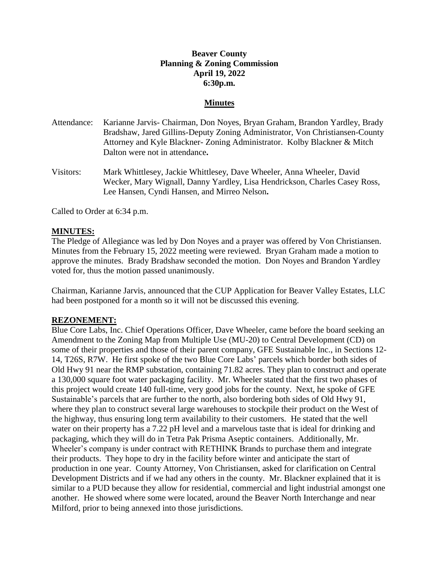# **Beaver County Planning & Zoning Commission April 19, 2022 6:30p.m.**

### **Minutes**

- Attendance: Karianne Jarvis- Chairman, Don Noyes, Bryan Graham, Brandon Yardley, Brady Bradshaw, Jared Gillins-Deputy Zoning Administrator, Von Christiansen-County Attorney and Kyle Blackner- Zoning Administrator. Kolby Blackner & Mitch Dalton were not in attendance**.**
- Visitors: Mark Whittlesey, Jackie Whittlesey, Dave Wheeler, Anna Wheeler, David Wecker, Mary Wignall, Danny Yardley, Lisa Hendrickson, Charles Casey Ross, Lee Hansen, Cyndi Hansen, and Mirreo Nelson**.**

Called to Order at 6:34 p.m.

### **MINUTES:**

The Pledge of Allegiance was led by Don Noyes and a prayer was offered by Von Christiansen. Minutes from the February 15, 2022 meeting were reviewed. Bryan Graham made a motion to approve the minutes. Brady Bradshaw seconded the motion. Don Noyes and Brandon Yardley voted for, thus the motion passed unanimously.

Chairman, Karianne Jarvis, announced that the CUP Application for Beaver Valley Estates, LLC had been postponed for a month so it will not be discussed this evening.

#### **REZONEMENT:**

Blue Core Labs, Inc. Chief Operations Officer, Dave Wheeler, came before the board seeking an Amendment to the Zoning Map from Multiple Use (MU-20) to Central Development (CD) on some of their properties and those of their parent company, GFE Sustainable Inc., in Sections 12- 14, T26S, R7W. He first spoke of the two Blue Core Labs' parcels which border both sides of Old Hwy 91 near the RMP substation, containing 71.82 acres. They plan to construct and operate a 130,000 square foot water packaging facility. Mr. Wheeler stated that the first two phases of this project would create 140 full-time, very good jobs for the county. Next, he spoke of GFE Sustainable's parcels that are further to the north, also bordering both sides of Old Hwy 91, where they plan to construct several large warehouses to stockpile their product on the West of the highway, thus ensuring long term availability to their customers. He stated that the well water on their property has a 7.22 pH level and a marvelous taste that is ideal for drinking and packaging, which they will do in Tetra Pak Prisma Aseptic containers. Additionally, Mr. Wheeler's company is under contract with RETHINK Brands to purchase them and integrate their products. They hope to dry in the facility before winter and anticipate the start of production in one year. County Attorney, Von Christiansen, asked for clarification on Central Development Districts and if we had any others in the county. Mr. Blackner explained that it is similar to a PUD because they allow for residential, commercial and light industrial amongst one another. He showed where some were located, around the Beaver North Interchange and near Milford, prior to being annexed into those jurisdictions.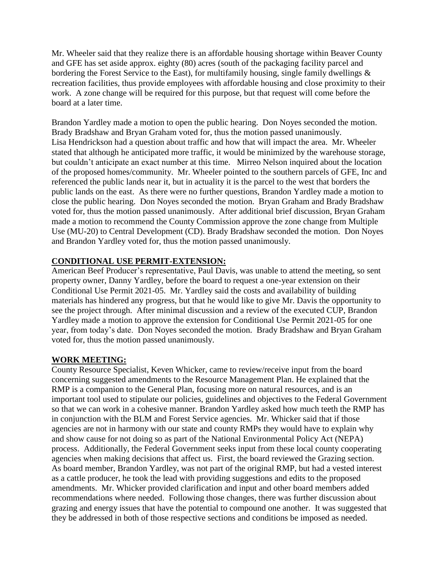Mr. Wheeler said that they realize there is an affordable housing shortage within Beaver County and GFE has set aside approx. eighty (80) acres (south of the packaging facility parcel and bordering the Forest Service to the East), for multifamily housing, single family dwellings & recreation facilities, thus provide employees with affordable housing and close proximity to their work. A zone change will be required for this purpose, but that request will come before the board at a later time.

Brandon Yardley made a motion to open the public hearing. Don Noyes seconded the motion. Brady Bradshaw and Bryan Graham voted for, thus the motion passed unanimously. Lisa Hendrickson had a question about traffic and how that will impact the area. Mr. Wheeler stated that although he anticipated more traffic, it would be minimized by the warehouse storage, but couldn't anticipate an exact number at this time. Mirreo Nelson inquired about the location of the proposed homes/community. Mr. Wheeler pointed to the southern parcels of GFE, Inc and referenced the public lands near it, but in actuality it is the parcel to the west that borders the public lands on the east. As there were no further questions, Brandon Yardley made a motion to close the public hearing. Don Noyes seconded the motion. Bryan Graham and Brady Bradshaw voted for, thus the motion passed unanimously. After additional brief discussion, Bryan Graham made a motion to recommend the County Commission approve the zone change from Multiple Use (MU-20) to Central Development (CD). Brady Bradshaw seconded the motion. Don Noyes and Brandon Yardley voted for, thus the motion passed unanimously.

# **CONDITIONAL USE PERMIT-EXTENSION:**

American Beef Producer's representative, Paul Davis, was unable to attend the meeting, so sent property owner, Danny Yardley, before the board to request a one-year extension on their Conditional Use Permit 2021-05. Mr. Yardley said the costs and availability of building materials has hindered any progress, but that he would like to give Mr. Davis the opportunity to see the project through. After minimal discussion and a review of the executed CUP, Brandon Yardley made a motion to approve the extension for Conditional Use Permit 2021-05 for one year, from today's date. Don Noyes seconded the motion. Brady Bradshaw and Bryan Graham voted for, thus the motion passed unanimously.

# **WORK MEETING:**

County Resource Specialist, Keven Whicker, came to review/receive input from the board concerning suggested amendments to the Resource Management Plan. He explained that the RMP is a companion to the General Plan, focusing more on natural resources, and is an important tool used to stipulate our policies, guidelines and objectives to the Federal Government so that we can work in a cohesive manner. Brandon Yardley asked how much teeth the RMP has in conjunction with the BLM and Forest Service agencies. Mr. Whicker said that if those agencies are not in harmony with our state and county RMPs they would have to explain why and show cause for not doing so as part of the National Environmental Policy Act (NEPA) process. Additionally, the Federal Government seeks input from these local county cooperating agencies when making decisions that affect us. First, the board reviewed the Grazing section. As board member, Brandon Yardley, was not part of the original RMP, but had a vested interest as a cattle producer, he took the lead with providing suggestions and edits to the proposed amendments. Mr. Whicker provided clarification and input and other board members added recommendations where needed. Following those changes, there was further discussion about grazing and energy issues that have the potential to compound one another. It was suggested that they be addressed in both of those respective sections and conditions be imposed as needed.